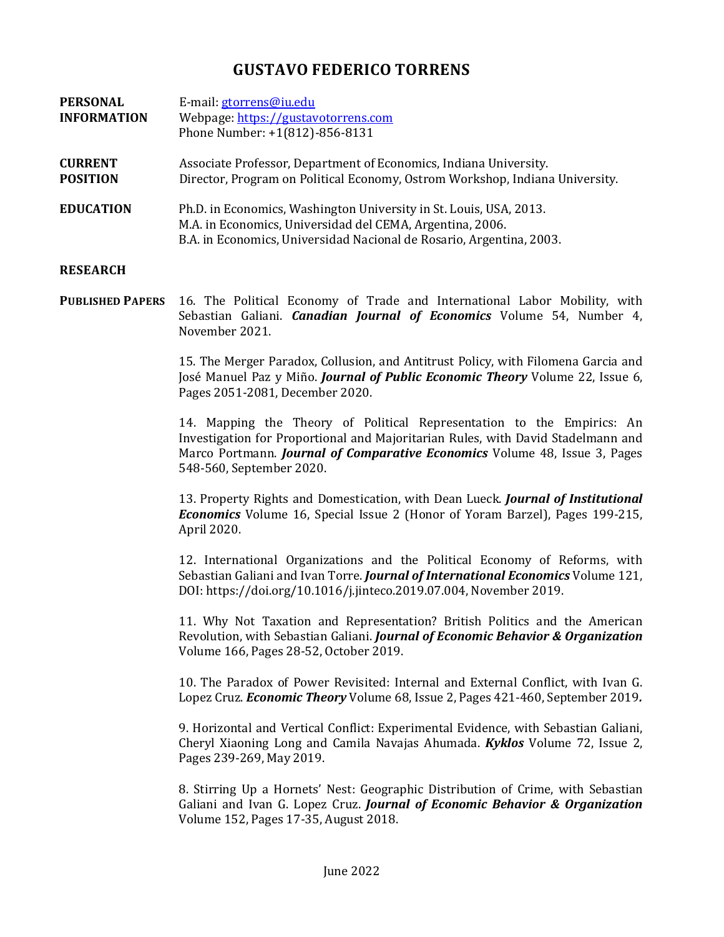## **GUSTAVO FEDERICO TORRENS**

| <b>PERSONAL</b><br><b>INFORMATION</b> | E-mail: gtorrens@iu.edu<br>Webpage: https://gustavotorrens.com<br>Phone Number: +1(812)-856-8131                                                                                                        |
|---------------------------------------|---------------------------------------------------------------------------------------------------------------------------------------------------------------------------------------------------------|
| <b>CURRENT</b><br><b>POSITION</b>     | Associate Professor, Department of Economics, Indiana University.<br>Director, Program on Political Economy, Ostrom Workshop, Indiana University.                                                       |
| <b>EDUCATION</b>                      | Ph.D. in Economics, Washington University in St. Louis, USA, 2013.<br>M.A. in Economics, Universidad del CEMA, Argentina, 2006.<br>B.A. in Economics, Universidad Nacional de Rosario, Argentina, 2003. |

## **RESEARCH**

**PUBLISHED PAPERS** 16. The Political Economy of Trade and International Labor Mobility, with Sebastian Galiani. *Canadian Journal of Economics* Volume 54, Number 4, November 2021.

> 15. The Merger Paradox, Collusion, and Antitrust Policy, with Filomena Garcia and José Manuel Paz y Miño. *Journal of Public Economic Theory* Volume 22, Issue 6, Pages 2051-2081, December 2020.

> 14. Mapping the Theory of Political Representation to the Empirics: An Investigation for Proportional and Majoritarian Rules, with David Stadelmann and Marco Portmann. *Journal of Comparative Economics* Volume 48, Issue 3, Pages 548-560, September 2020.

> 13. Property Rights and Domestication, with Dean Lueck. *Journal of Institutional Economics* Volume 16, Special Issue 2 (Honor of Yoram Barzel), Pages 199-215, April 2020.

> 12. International Organizations and the Political Economy of Reforms, with Sebastian Galiani and Ivan Torre. *Journal of International Economics* Volume 121, DOI[: https://doi.org/10.1016/j.jinteco.2019.07.004,](https://doi.org/10.1016/j.jinteco.2019.07.004) November 2019.

> 11. [Why Not Taxation and Representation? British Politics and the](https://papers.ssrn.com/sol3/papers.cfm?abstract_id=2850258) American Revolution, [with Sebastian Galiani.](https://papers.ssrn.com/sol3/papers.cfm?abstract_id=2850258) *Journal of Economic Behavior & Organization* Volume 166, Pages 28-52, October 2019.

> 10. The Paradox of Power Revisited: Internal and External Conflict, with Ivan G. Lopez Cruz. *Economic Theory* Volume 68, Issue 2, Pages 421-460, September 2019*.*

> 9. Horizontal and Vertical Conflict: Experimental Evidence, with Sebastian Galiani, Cheryl Xiaoning Long and Camila Navajas Ahumada. *Kyklos* Volume 72, Issue 2, Pages 239-269, May 2019.

> 8. Stirring Up a Hornets' Nest: Geographic Distribution of Crime, with Sebastian Galiani and Ivan G. Lopez Cruz. *Journal of Economic Behavior & Organization* Volume 152, Pages 17-35, August 2018.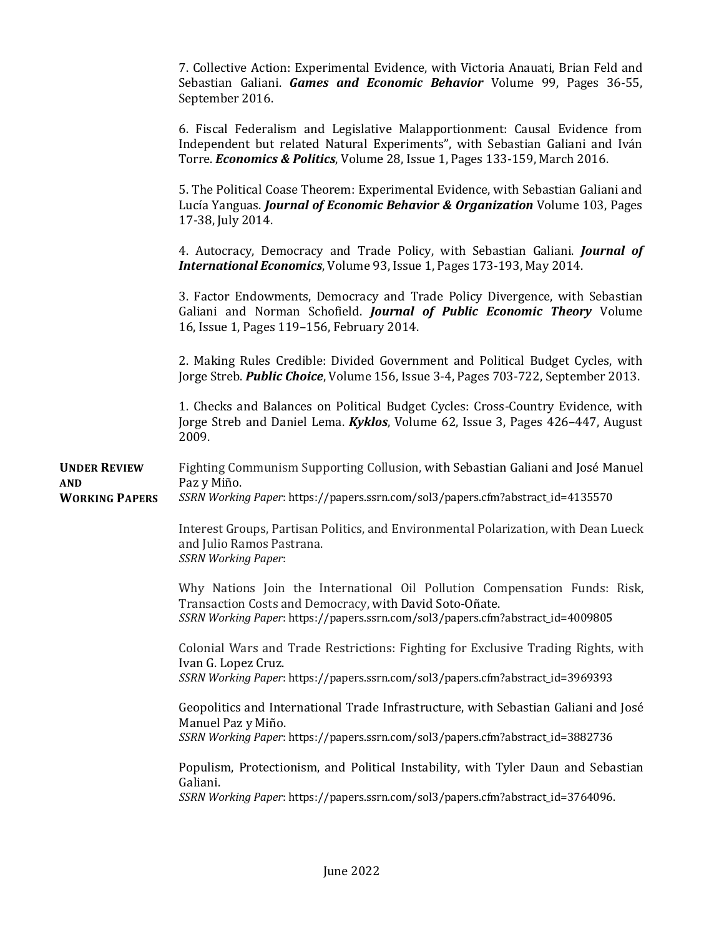|                                                     | 7. Collective Action: Experimental Evidence, with Victoria Anauati, Brian Feld and<br>Sebastian Galiani. Games and Economic Behavior Volume 99, Pages 36-55,<br>September 2016.                                                             |
|-----------------------------------------------------|---------------------------------------------------------------------------------------------------------------------------------------------------------------------------------------------------------------------------------------------|
|                                                     | 6. Fiscal Federalism and Legislative Malapportionment: Causal Evidence from<br>Independent but related Natural Experiments", with Sebastian Galiani and Iván<br>Torre. Economics & Politics, Volume 28, Issue 1, Pages 133-159, March 2016. |
|                                                     | 5. The Political Coase Theorem: Experimental Evidence, with Sebastian Galiani and<br>Lucía Yanguas. Journal of Economic Behavior & Organization Volume 103, Pages<br>17-38, July 2014.                                                      |
|                                                     | 4. Autocracy, Democracy and Trade Policy, with Sebastian Galiani. Journal of<br>International Economics, Volume 93, Issue 1, Pages 173-193, May 2014.                                                                                       |
|                                                     | 3. Factor Endowments, Democracy and Trade Policy Divergence, with Sebastian<br>Galiani and Norman Schofield. Journal of Public Economic Theory Volume<br>16, Issue 1, Pages 119-156, February 2014.                                         |
|                                                     | 2. Making Rules Credible: Divided Government and Political Budget Cycles, with<br>Jorge Streb. Public Choice, Volume 156, Issue 3-4, Pages 703-722, September 2013.                                                                         |
|                                                     | 1. Checks and Balances on Political Budget Cycles: Cross-Country Evidence, with<br>Jorge Streb and Daniel Lema. Kyklos, Volume 62, Issue 3, Pages 426-447, August<br>2009.                                                                  |
| <b>UNDER REVIEW</b><br>AND<br><b>WORKING PAPERS</b> | Fighting Communism Supporting Collusion, with Sebastian Galiani and José Manuel<br>Paz y Miño.<br>SSRN Working Paper: https://papers.ssrn.com/sol3/papers.cfm?abstract_id=4135570                                                           |
|                                                     | Interest Groups, Partisan Politics, and Environmental Polarization, with Dean Lueck<br>and Julio Ramos Pastrana.<br><b>SSRN Working Paper:</b>                                                                                              |
|                                                     | Why Nations Join the International Oil Pollution Compensation Funds: Risk,<br>Transaction Costs and Democracy, with David Soto-Oñate.<br>SSRN Working Paper: https://papers.ssrn.com/sol3/papers.cfm?abstract_id=4009805                    |
|                                                     | Colonial Wars and Trade Restrictions: Fighting for Exclusive Trading Rights, with<br>Ivan G. Lopez Cruz.<br>SSRN Working Paper: https://papers.ssrn.com/sol3/papers.cfm?abstract_id=3969393                                                 |
|                                                     | Geopolitics and International Trade Infrastructure, with Sebastian Galiani and José<br>Manuel Paz y Miño.<br>SSRN Working Paper: https://papers.ssrn.com/sol3/papers.cfm?abstract_id=3882736                                                |
|                                                     | Populism, Protectionism, and Political Instability, with Tyler Daun and Sebastian<br>Galiani.<br>SSRN Working Paper: https://papers.ssrn.com/sol3/papers.cfm?abstract_id=3764096.                                                           |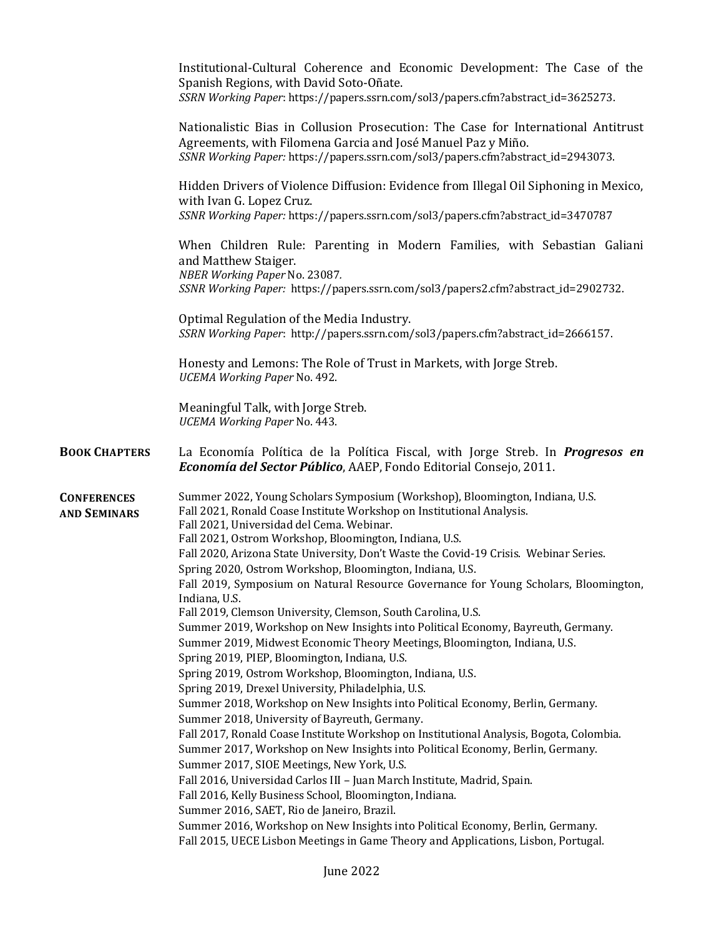|                                           | Institutional-Cultural Coherence and Economic Development: The Case of the<br>Spanish Regions, with David Soto-Oñate.<br>SSRN Working Paper: https://papers.ssrn.com/sol3/papers.cfm?abstract_id=3625273.                                                                                                                                                                                                                                                                                                                                                                                                                                                                                                                                                                                                                                                                                                                                                                                                                                                                                                                                                                                                                                                                                                                                                                                                                                                                         |
|-------------------------------------------|-----------------------------------------------------------------------------------------------------------------------------------------------------------------------------------------------------------------------------------------------------------------------------------------------------------------------------------------------------------------------------------------------------------------------------------------------------------------------------------------------------------------------------------------------------------------------------------------------------------------------------------------------------------------------------------------------------------------------------------------------------------------------------------------------------------------------------------------------------------------------------------------------------------------------------------------------------------------------------------------------------------------------------------------------------------------------------------------------------------------------------------------------------------------------------------------------------------------------------------------------------------------------------------------------------------------------------------------------------------------------------------------------------------------------------------------------------------------------------------|
|                                           | Nationalistic Bias in Collusion Prosecution: The Case for International Antitrust<br>Agreements, with Filomena Garcia and José Manuel Paz y Miño.<br>SSNR Working Paper: https://papers.ssrn.com/sol3/papers.cfm?abstract_id=2943073.                                                                                                                                                                                                                                                                                                                                                                                                                                                                                                                                                                                                                                                                                                                                                                                                                                                                                                                                                                                                                                                                                                                                                                                                                                             |
|                                           | Hidden Drivers of Violence Diffusion: Evidence from Illegal Oil Siphoning in Mexico,<br>with Ivan G. Lopez Cruz.<br>SSNR Working Paper: https://papers.ssrn.com/sol3/papers.cfm?abstract_id=3470787                                                                                                                                                                                                                                                                                                                                                                                                                                                                                                                                                                                                                                                                                                                                                                                                                                                                                                                                                                                                                                                                                                                                                                                                                                                                               |
|                                           | When Children Rule: Parenting in Modern Families, with Sebastian Galiani<br>and Matthew Staiger.<br>NBER Working Paper No. 23087.<br>SSNR Working Paper: https://papers.ssrn.com/sol3/papers2.cfm?abstract_id=2902732.                                                                                                                                                                                                                                                                                                                                                                                                                                                                                                                                                                                                                                                                                                                                                                                                                                                                                                                                                                                                                                                                                                                                                                                                                                                            |
|                                           | Optimal Regulation of the Media Industry.<br>SSRN Working Paper: http://papers.ssrn.com/sol3/papers.cfm?abstract_id=2666157.                                                                                                                                                                                                                                                                                                                                                                                                                                                                                                                                                                                                                                                                                                                                                                                                                                                                                                                                                                                                                                                                                                                                                                                                                                                                                                                                                      |
|                                           | Honesty and Lemons: The Role of Trust in Markets, with Jorge Streb.<br>UCEMA Working Paper No. 492.                                                                                                                                                                                                                                                                                                                                                                                                                                                                                                                                                                                                                                                                                                                                                                                                                                                                                                                                                                                                                                                                                                                                                                                                                                                                                                                                                                               |
|                                           | Meaningful Talk, with Jorge Streb.<br><b>UCEMA Working Paper No. 443.</b>                                                                                                                                                                                                                                                                                                                                                                                                                                                                                                                                                                                                                                                                                                                                                                                                                                                                                                                                                                                                                                                                                                                                                                                                                                                                                                                                                                                                         |
| <b>BOOK CHAPTERS</b>                      | La Economía Política de la Política Fiscal, with Jorge Streb. In <i>Progresos en</i><br>Economía del Sector Público, AAEP, Fondo Editorial Consejo, 2011.                                                                                                                                                                                                                                                                                                                                                                                                                                                                                                                                                                                                                                                                                                                                                                                                                                                                                                                                                                                                                                                                                                                                                                                                                                                                                                                         |
| <b>CONFERENCES</b><br><b>AND SEMINARS</b> | Summer 2022, Young Scholars Symposium (Workshop), Bloomington, Indiana, U.S.<br>Fall 2021, Ronald Coase Institute Workshop on Institutional Analysis.<br>Fall 2021, Universidad del Cema. Webinar.<br>Fall 2021, Ostrom Workshop, Bloomington, Indiana, U.S.<br>Fall 2020, Arizona State University, Don't Waste the Covid-19 Crisis. Webinar Series.<br>Spring 2020, Ostrom Workshop, Bloomington, Indiana, U.S.<br>Fall 2019, Symposium on Natural Resource Governance for Young Scholars, Bloomington,<br>Indiana, U.S.<br>Fall 2019, Clemson University, Clemson, South Carolina, U.S.<br>Summer 2019, Workshop on New Insights into Political Economy, Bayreuth, Germany.<br>Summer 2019, Midwest Economic Theory Meetings, Bloomington, Indiana, U.S.<br>Spring 2019, PIEP, Bloomington, Indiana, U.S.<br>Spring 2019, Ostrom Workshop, Bloomington, Indiana, U.S.<br>Spring 2019, Drexel University, Philadelphia, U.S.<br>Summer 2018, Workshop on New Insights into Political Economy, Berlin, Germany.<br>Summer 2018, University of Bayreuth, Germany.<br>Fall 2017, Ronald Coase Institute Workshop on Institutional Analysis, Bogota, Colombia.<br>Summer 2017, Workshop on New Insights into Political Economy, Berlin, Germany.<br>Summer 2017, SIOE Meetings, New York, U.S.<br>Fall 2016, Universidad Carlos III - Juan March Institute, Madrid, Spain.<br>Fall 2016, Kelly Business School, Bloomington, Indiana.<br>Summer 2016, SAET, Rio de Janeiro, Brazil. |
|                                           | Summer 2016, Workshop on New Insights into Political Economy, Berlin, Germany.<br>Fall 2015, UECE Lisbon Meetings in Game Theory and Applications, Lisbon, Portugal.                                                                                                                                                                                                                                                                                                                                                                                                                                                                                                                                                                                                                                                                                                                                                                                                                                                                                                                                                                                                                                                                                                                                                                                                                                                                                                              |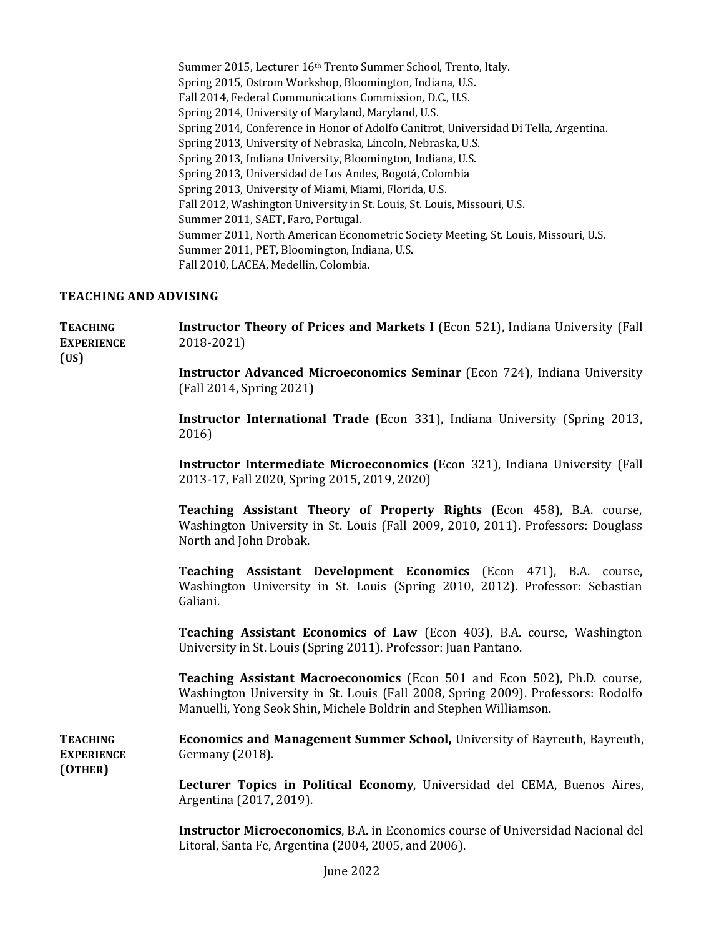Summer 2015, Lecturer 16th Trento Summer School, Trento, Italy. Spring 2015, Ostrom Workshop, Bloomington, Indiana, U.S. Fall 2014, Federal Communications Commission, D.C., U.S. Spring 2014, University of Maryland, Maryland, U.S. Spring 2014, Conference in Honor of Adolfo Canitrot, Universidad Di Tella, Argentina. Spring 2013, University of Nebraska, Lincoln, Nebraska, U.S. Spring 2013, Indiana University, Bloomington, Indiana, U.S. Spring 2013, Universidad de Los Andes, Bogotá, Colombia Spring 2013, University of Miami, Miami, Florida, U.S. Fall 2012, Washington University in St. Louis, St. Louis, Missouri, U.S. Summer 2011, SAET, Faro, Portugal. Summer 2011, North American Econometric Society Meeting, St. Louis, Missouri, U.S. Summer 2011, PET, Bloomington, Indiana, U.S. Fall 2010, LACEA, Medellin, Colombia.

## **TEACHING AND ADVISING**

**(US)**

**TEACHING EXPERIENCE Instructor Theory of Prices and Markets I** (Econ 521), Indiana University (Fall 2018-2021)

> **Instructor Advanced Microeconomics Seminar** (Econ 724), Indiana University (Fall 2014, Spring 2021)

> **Instructor International Trade** (Econ 331), Indiana University (Spring 2013, 2016)

> **Instructor Intermediate Microeconomics** (Econ 321), Indiana University (Fall 2013-17, Fall 2020, Spring 2015, 2019, 2020)

> **Teaching Assistant Theory of Property Rights** (Econ 458), B.A. course, Washington University in St. Louis (Fall 2009, 2010, 2011). Professors: Douglass North and John Drobak.

> **Teaching Assistant Development Economics** (Econ 471), B.A. course, Washington University in St. Louis (Spring 2010, 2012). Professor: Sebastian Galiani.

> **Teaching Assistant Economics of Law** (Econ 403), B.A. course, Washington University in St. Louis (Spring 2011). Professor: Juan Pantano.

> **Teaching Assistant Macroeconomics** (Econ 501 and Econ 502), Ph.D. course, Washington University in St. Louis (Fall 2008, Spring 2009). Professors: Rodolfo Manuelli, Yong Seok Shin, Michele Boldrin and Stephen Williamson.

**TEACHING EXPERIENCE (OTHER) Economics and Management Summer School,** University of Bayreuth, Bayreuth, Germany (2018).

> **Lecturer Topics in Political Economy**, Universidad del CEMA, Buenos Aires, Argentina (2017, 2019).

> **Instructor Microeconomics**, B.A. in Economics course of Universidad Nacional del Litoral, Santa Fe, Argentina (2004, 2005, and 2006).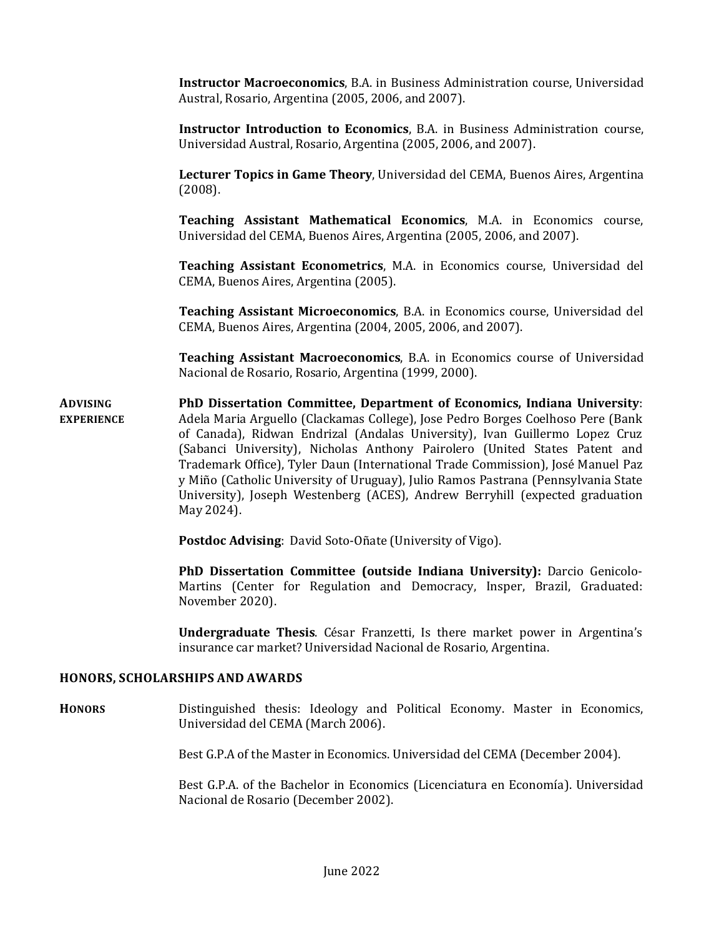**Instructor Macroeconomics**, B.A. in Business Administration course, Universidad Austral, Rosario, Argentina (2005, 2006, and 2007).

**Instructor Introduction to Economics**, B.A. in Business Administration course, Universidad Austral, Rosario, Argentina (2005, 2006, and 2007).

**Lecturer Topics in Game Theory**, Universidad del CEMA, Buenos Aires, Argentina (2008).

**Teaching Assistant Mathematical Economics**, M.A. in Economics course, Universidad del CEMA, Buenos Aires, Argentina (2005, 2006, and 2007).

**Teaching Assistant Econometrics**, M.A. in Economics course, Universidad del CEMA, Buenos Aires, Argentina (2005).

**Teaching Assistant Microeconomics**, B.A. in Economics course, Universidad del CEMA, Buenos Aires, Argentina (2004, 2005, 2006, and 2007).

**Teaching Assistant Macroeconomics**, B.A. in Economics course of Universidad Nacional de Rosario, Rosario, Argentina (1999, 2000).

**ADVISING EXPERIENCE PhD Dissertation Committee, Department of Economics, Indiana University**: Adela Maria Arguello (Clackamas College), Jose Pedro Borges Coelhoso Pere (Bank of Canada), Ridwan Endrizal (Andalas University), Ivan Guillermo Lopez Cruz (Sabanci University), Nicholas Anthony Pairolero (United States Patent and Trademark Office), Tyler Daun (International Trade Commission), José Manuel Paz y Miño (Catholic University of Uruguay), Julio Ramos Pastrana (Pennsylvania State University), Joseph Westenberg (ACES), Andrew Berryhill (expected graduation May 2024).

**Postdoc Advising**: David Soto-Oñate (University of Vigo).

**PhD Dissertation Committee (outside Indiana University):** Darcio Genicolo-Martins (Center for Regulation and Democracy, Insper, Brazil, Graduated: November 2020).

**Undergraduate Thesis**. César Franzetti, Is there market power in Argentina's insurance car market? Universidad Nacional de Rosario, Argentina.

## **HONORS, SCHOLARSHIPS AND AWARDS**

**HONORS** Distinguished thesis: Ideology and Political Economy. Master in Economics, Universidad del CEMA (March 2006).

Best G.P.A of the Master in Economics. Universidad del CEMA (December 2004).

Best G.P.A. of the Bachelor in Economics (Licenciatura en Economía). Universidad Nacional de Rosario (December 2002).